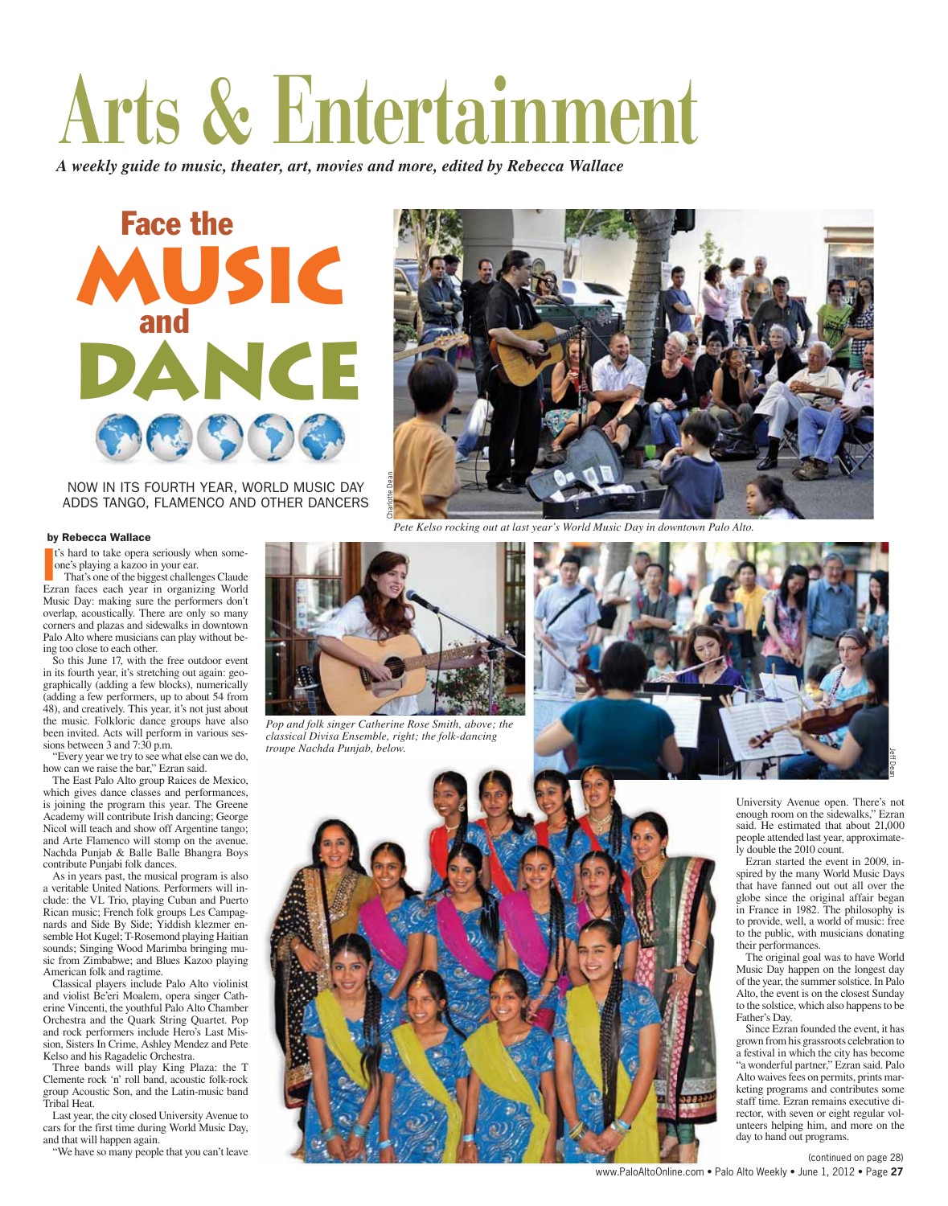# **Arts & Entertainment**

*A weekly guide to music, theater, art, movies and more, edited by Rebecca Wallace*





NOW IN ITS FOURTH YEAR, WORLD MUSIC DAY ADDS TANGO, FLAMENCO AND OTHER DANCERS

#### by Rebecca Wallace

t's hard to take opera seriously when someone's playing a kazoo in your ear.

<sup>t's</sup> hard to take opera seriously when some-<br>one's playing a kazoo in your ear.<br>That's one of the biggest challenges Claude<br>Ezran faces each year in organizing World That's one of the biggest challenges Claude Music Day: making sure the performers don't overlap, acoustically. There are only so many corners and plazas and sidewalks in downtown Palo Alto where musicians can play without being too close to each other.

So this June 17, with the free outdoor event in its fourth year, it's stretching out again: geographically (adding a few blocks), numerically (adding a few performers, up to about 54 from 48), and creatively. This year, it's not just about the music. Folkloric dance groups have also been invited. Acts will perform in various sessions between 3 and 7:30 p.m.

"Every year we try to see what else can we do, how can we raise the bar," Ezran said.

The East Palo Alto group Raices de Mexico, which gives dance classes and performances, is joining the program this year. The Greene Academy will contribute Irish dancing; George Nicol will teach and show off Argentine tango; and Arte Flamenco will stomp on the avenue. Nachda Punjab & Balle Balle Bhangra Boys contribute Punjabi folk dances.

As in years past, the musical program is also a veritable United Nations. Performers will include: the VL Trio, playing Cuban and Puerto Rican music; French folk groups Les Campagnards and Side By Side; Yiddish klezmer ensemble Hot Kugel; T-Rosemond playing Haitian sounds; Singing Wood Marimba bringing music from Zimbabwe; and Blues Kazoo playing American folk and ragtime.

Classical players include Palo Alto violinist and violist Be'eri Moalem, opera singer Catherine Vincenti, the youthful Palo Alto Chamber Orchestra and the Quark String Quartet. Pop and rock performers include Hero's Last Mission, Sisters In Crime, Ashley Mendez and Pete Kelso and his Ragadelic Orchestra.

Three bands will play King Plaza: the T Clemente rock 'n' roll band, acoustic folk-rock group Acoustic Son, and the Latin-music band Tribal Heat.

Last year, the city closed University Avenue to cars for the first time during World Music Day, and that will happen again.

"We have so many people that you can't leave

*Pete Kelso rocking out at last year's World Music Day in downtown Palo Alto.*



*Pop and folk singer Catherine Rose Smith, above; the classical Divisa Ensemble, right; the folk-dancing troupe Nachda Punjab, below.*



University Avenue open. There's not enough room on the sidewalks," Ezran said. He estimated that about 21,000 people attended last year, approximately double the 2010 count.

Jeff Dean

Ezran started the event in 2009, inspired by the many World Music Days that have fanned out out all over the globe since the original affair began in France in 1982. The philosophy is to provide, well, a world of music: free to the public, with musicians donating their performances.

The original goal was to have World Music Day happen on the longest day of the year, the summer solstice. In Palo Alto, the event is on the closest Sunday to the solstice, which also happens to be Father's Day.

Since Ezran founded the event, it has grown from his grassroots celebration to a festival in which the city has become "a wonderful partner," Ezran said. Palo Alto waives fees on permits, prints marketing programs and contributes some staff time. Ezran remains executive director, with seven or eight regular volunteers helping him, and more on the day to hand out programs.